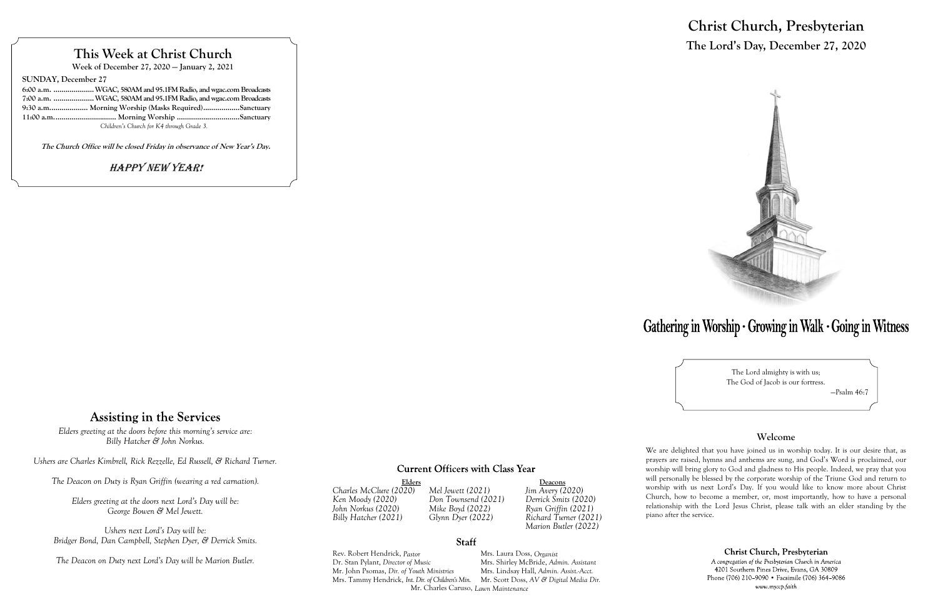# **This Week at Christ Church**

**Week of December 27, 2020 — January 2, 2021**

**SUNDAY, December 27**

| 6:00 a.m.  WGAC, 580AM and 95.1FM Radio, and wgac.com Broadcasts |  |
|------------------------------------------------------------------|--|
| 7:00 a.m.  WGAC, 580AM and 95.1FM Radio, and wgac.com Broadcasts |  |
| 9:30 a.m Morning Worship (Masks Required)Sanctuary               |  |
|                                                                  |  |
| Children's Church for K4 through Grade 3.                        |  |

Elders<br>
O20) Mel Jewett (2021) Jim Avery (2020) *Billy Hatcher (2021) Glynn Dyer (2022) Richard Turner (2021) Marion Butler (2022)*

**The Church Office will be closed Friday in observance of New Year's Day.**

## Happy New Year!

# **Assisting in the Services**

*Charles McClure (2020) Mel Jewett (2021) Jim Avery (2020) Ken Moody (2020) Don Townsend (2021) Derrick Smits (2020)*

### **Staff**

*John Norkus (2020) Mike Boyd (2022) Ryan Griffin (2021)*

Rev. Robert Hendrick, *Pastor* Mrs. Laura Doss, *Organist* Dr. Stan Pylant, *Director of Music* Mrs. Shirley McBride, *Admin. Assistant* Mr. John Psomas, *Dir. of Youth Ministries* Mrs. Tammy Hendrick, *Int. Dir. of Children's Min.* Mr. Scott Doss, *AV & Digital Media Dir.* Mr. Charles Caruso, *Lawn Maintenance*

# **Christ Church, Presbyterian The Lord's Day, December 27, 2020**



# Gathering in Worship · Growing in Walk · Going in Witness

The Lord almighty is with us; The God of Jacob is our fortress. —Psalm 46:7

### **Welcome**

Christ Church, Presbyterian

A congregation of the Presbyterian Church in America 4201 Southern Pines Drive, Evans, GA 30809 Phone (706) 210-9090 • Facsimile (706) 364-9086 www.myccp.faith

We are delighted that you have joined us in worship today. It is our desire that, as prayers are raised, hymns and anthems are sung, and God's Word is proclaimed, our worship will bring glory to God and gladness to His people. Indeed, we pray that you will personally be blessed by the corporate worship of the Triune God and return to worship with us next Lord's Day. If you would like to know more about Christ Church, how to become a member, or, most importantly, how to have a personal relationship with the Lord Jesus Christ, please talk with an elder standing by the piano after the service.

*Elders greeting at the doors before this morning's service are: Billy Hatcher & John Norkus.*

*Ushers are Charles Kimbrell, Rick Rezzelle, Ed Russell, & Richard Turner.*

*The Deacon on Duty is Ryan Griffin (wearing a red carnation).*

*Elders greeting at the doors next Lord's Day will be: George Bowen & Mel Jewett.*

*Ushers next Lord's Day will be: Bridger Bond, Dan Campbell, Stephen Dyer, & Derrick Smits.*

*The Deacon on Duty next Lord's Day will be Marion Butler.*

## **Current Officers with Class Year**